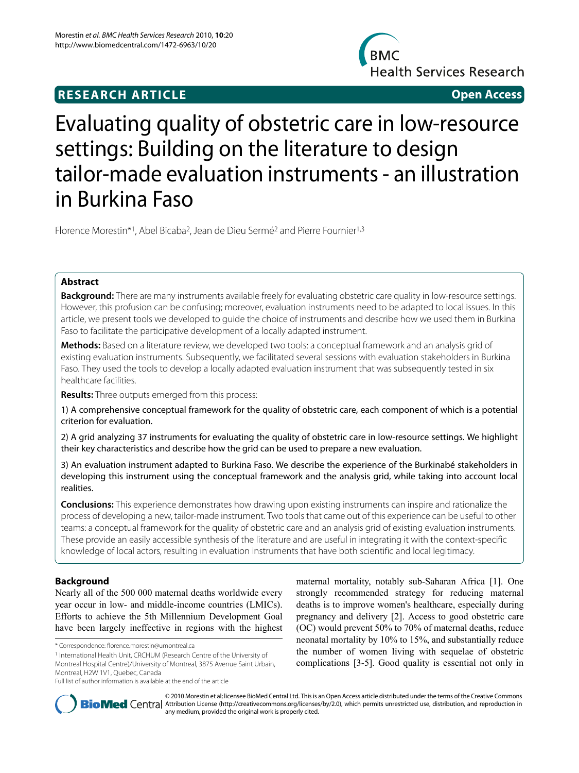# **RESEARCH ARTICLE Open Access**



# Evaluating quality of obstetric care in low-resource settings: Building on the literature to design tailor-made evaluation instruments - an illustration in Burkina Faso

Florence Morestin<sup>\*1</sup>, Abel Bicaba<sup>2</sup>, Jean de Dieu Sermé<sup>2</sup> and Pierre Fournier<sup>1,3</sup>

# **Abstract**

**Background:** There are many instruments available freely for evaluating obstetric care quality in low-resource settings. However, this profusion can be confusing; moreover, evaluation instruments need to be adapted to local issues. In this article, we present tools we developed to guide the choice of instruments and describe how we used them in Burkina Faso to facilitate the participative development of a locally adapted instrument.

**Methods:** Based on a literature review, we developed two tools: a conceptual framework and an analysis grid of existing evaluation instruments. Subsequently, we facilitated several sessions with evaluation stakeholders in Burkina Faso. They used the tools to develop a locally adapted evaluation instrument that was subsequently tested in six healthcare facilities.

**Results:** Three outputs emerged from this process:

1) A comprehensive conceptual framework for the quality of obstetric care, each component of which is a potential criterion for evaluation.

2) A grid analyzing 37 instruments for evaluating the quality of obstetric care in low-resource settings. We highlight their key characteristics and describe how the grid can be used to prepare a new evaluation.

3) An evaluation instrument adapted to Burkina Faso. We describe the experience of the Burkinabé stakeholders in developing this instrument using the conceptual framework and the analysis grid, while taking into account local realities.

**Conclusions:** This experience demonstrates how drawing upon existing instruments can inspire and rationalize the process of developing a new, tailor-made instrument. Two tools that came out of this experience can be useful to other teams: a conceptual framework for the quality of obstetric care and an analysis grid of existing evaluation instruments. These provide an easily accessible synthesis of the literature and are useful in integrating it with the context-specific knowledge of local actors, resulting in evaluation instruments that have both scientific and local legitimacy.

# **Background**

Nearly all of the 500 000 maternal deaths worldwide every year occur in low- and middle-income countries (LMICs). Efforts to achieve the 5th Millennium Development Goal have been largely ineffective in regions with the highest

1 International Health Unit, CRCHUM (Research Centre of the University of Montreal Hospital Centre)/University of Montreal, 3875 Avenue Saint Urbain, Montreal, H2W 1V1, Quebec, Canada

maternal mortality, notably sub-Saharan Africa [[1\]](#page-11-0). One strongly recommended strategy for reducing maternal deaths is to improve women's healthcare, especially during pregnancy and delivery [[2](#page-11-1)]. Access to good obstetric care (OC) would prevent 50% to 70% of maternal deaths, reduce neonatal mortality by 10% to 15%, and substantially reduce the number of women living with sequelae of obstetric complications [[3-](#page-11-2)[5\]](#page-11-3). Good quality is essential not only in



© 2010 Morestin et al; licensee BioMed Central Ltd. This is an Open Access article distributed under the terms of the Creative Commons **Bio Med** Central Attribution License (http://creativecommons.org/licenses/by/2.0), which permits unrestricted use, distribution, and reproduction in any medium, provided the original work is properly cited.

<sup>\*</sup> Correspondence: florence.morestin@umontreal.ca

Full list of author information is available at the end of the article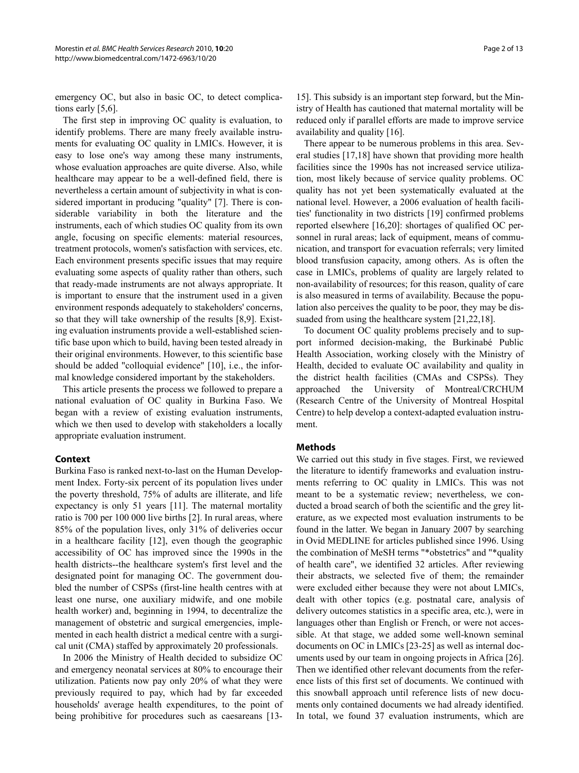emergency OC, but also in basic OC, to detect complications early [\[5](#page-11-3),[6\]](#page-11-4).

The first step in improving OC quality is evaluation, to identify problems. There are many freely available instruments for evaluating OC quality in LMICs. However, it is easy to lose one's way among these many instruments, whose evaluation approaches are quite diverse. Also, while healthcare may appear to be a well-defined field, there is nevertheless a certain amount of subjectivity in what is considered important in producing "quality" [\[7\]](#page-11-5). There is considerable variability in both the literature and the instruments, each of which studies OC quality from its own angle, focusing on specific elements: material resources, treatment protocols, women's satisfaction with services, etc. Each environment presents specific issues that may require evaluating some aspects of quality rather than others, such that ready-made instruments are not always appropriate. It is important to ensure that the instrument used in a given environment responds adequately to stakeholders' concerns, so that they will take ownership of the results [\[8](#page-11-6)[,9](#page-11-7)]. Existing evaluation instruments provide a well-established scientific base upon which to build, having been tested already in their original environments. However, to this scientific base should be added "colloquial evidence" [[10\]](#page-11-8), i.e., the informal knowledge considered important by the stakeholders.

This article presents the process we followed to prepare a national evaluation of OC quality in Burkina Faso. We began with a review of existing evaluation instruments, which we then used to develop with stakeholders a locally appropriate evaluation instrument.

# **Context**

Burkina Faso is ranked next-to-last on the Human Development Index. Forty-six percent of its population lives under the poverty threshold, 75% of adults are illiterate, and life expectancy is only 51 years [\[11\]](#page-11-9). The maternal mortality ratio is 700 per 100 000 live births [\[2](#page-11-1)]. In rural areas, where 85% of the population lives, only 31% of deliveries occur in a healthcare facility [[12\]](#page-11-10), even though the geographic accessibility of OC has improved since the 1990s in the health districts--the healthcare system's first level and the designated point for managing OC. The government doubled the number of CSPSs (first-line health centres with at least one nurse, one auxiliary midwife, and one mobile health worker) and, beginning in 1994, to decentralize the management of obstetric and surgical emergencies, implemented in each health district a medical centre with a surgical unit (CMA) staffed by approximately 20 professionals.

In 2006 the Ministry of Health decided to subsidize OC and emergency neonatal services at 80% to encourage their utilization. Patients now pay only 20% of what they were previously required to pay, which had by far exceeded households' average health expenditures, to the point of being prohibitive for procedures such as caesareans [[13](#page-11-11)-

[15\]](#page-11-12). This subsidy is an important step forward, but the Ministry of Health has cautioned that maternal mortality will be reduced only if parallel efforts are made to improve service availability and quality [[16\]](#page-11-13).

There appear to be numerous problems in this area. Several studies [[17](#page-11-14),[18\]](#page-11-15) have shown that providing more health facilities since the 1990s has not increased service utilization, most likely because of service quality problems. OC quality has not yet been systematically evaluated at the national level. However, a 2006 evaluation of health facilities' functionality in two districts [\[19](#page-11-16)] confirmed problems reported elsewhere [[16,](#page-11-13)[20\]](#page-11-17): shortages of qualified OC personnel in rural areas; lack of equipment, means of communication, and transport for evacuation referrals; very limited blood transfusion capacity, among others. As is often the case in LMICs, problems of quality are largely related to non-availability of resources; for this reason, quality of care is also measured in terms of availability. Because the population also perceives the quality to be poor, they may be dissuaded from using the healthcare system [[21](#page-11-18),[22,](#page-11-19)[18\]](#page-11-15).

To document OC quality problems precisely and to support informed decision-making, the Burkinabé Public Health Association, working closely with the Ministry of Health, decided to evaluate OC availability and quality in the district health facilities (CMAs and CSPSs). They approached the University of Montreal/CRCHUM (Research Centre of the University of Montreal Hospital Centre) to help develop a context-adapted evaluation instrument.

### **Methods**

We carried out this study in five stages. First, we reviewed the literature to identify frameworks and evaluation instruments referring to OC quality in LMICs. This was not meant to be a systematic review; nevertheless, we conducted a broad search of both the scientific and the grey literature, as we expected most evaluation instruments to be found in the latter. We began in January 2007 by searching in Ovid MEDLINE for articles published since 1996. Using the combination of MeSH terms "\*obstetrics" and "\*quality of health care", we identified 32 articles. After reviewing their abstracts, we selected five of them; the remainder were excluded either because they were not about LMICs, dealt with other topics (e.g. postnatal care, analysis of delivery outcomes statistics in a specific area, etc.), were in languages other than English or French, or were not accessible. At that stage, we added some well-known seminal documents on OC in LMICs [[23-](#page-11-20)[25\]](#page-11-21) as well as internal documents used by our team in ongoing projects in Africa [\[26](#page-11-22)]. Then we identified other relevant documents from the reference lists of this first set of documents. We continued with this snowball approach until reference lists of new documents only contained documents we had already identified. In total, we found 37 evaluation instruments, which are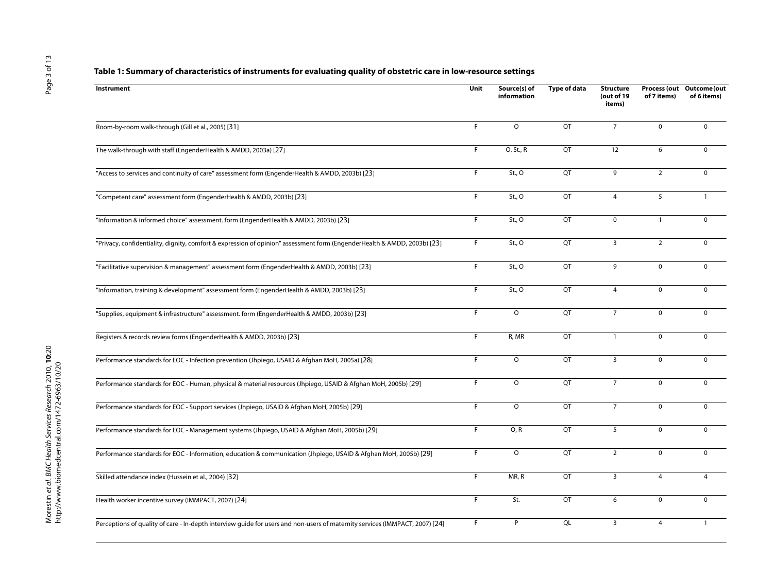# **Table 1: Summary of characteristics of instruments for evaluating quality of obstetric care in low-resource settings**

| Instrument                                                                                                                   | Unit | Source(s) of<br>information | <b>Type of data</b> | <b>Structure</b><br>(out of 19<br>items) | of 7 items)    | Process (out Outcome (out<br>of 6 items) |
|------------------------------------------------------------------------------------------------------------------------------|------|-----------------------------|---------------------|------------------------------------------|----------------|------------------------------------------|
| Room-by-room walk-through (Gill et al., 2005) [31]                                                                           | F.   | $\Omega$                    | OT                  | $\overline{7}$                           | 0              | $\mathbf{0}$                             |
| The walk-through with staff (EngenderHealth & AMDD, 2003a) [27]                                                              | F.   | O, St., R                   | OT                  | 12                                       | 6              | $\mathbf{0}$                             |
| "Access to services and continuity of care" assessment form (EngenderHealth & AMDD, 2003b) [23]                              | F.   | St., O                      | QT                  | 9                                        | $\overline{2}$ | $\Omega$                                 |
| "Competent care" assessment form (EngenderHealth & AMDD, 2003b) [23]                                                         | F    | St., O                      | QT                  | $\overline{4}$                           | 5              | $\overline{1}$                           |
| "Information & informed choice" assessment. form (EngenderHealth & AMDD, 2003b) [23]                                         | F    | St., O                      | QT                  | $\mathbf 0$                              | $\mathbf{1}$   | $\Omega$                                 |
| "Privacy, confidentiality, dignity, comfort & expression of opinion" assessment form (EngenderHealth & AMDD, 2003b) [23]     | F    | St., O                      | QT                  | $\overline{3}$                           | $\overline{2}$ | $\mathbf{0}$                             |
| "Facilitative supervision & management" assessment form (EngenderHealth & AMDD, 2003b) [23]                                  | F    | St., O                      | QT                  | 9                                        | $\Omega$       | $\mathbf{0}$                             |
| "Information, training & development" assessment form (EngenderHealth & AMDD, 2003b) [23]                                    | F.   | St., O                      | QT                  | $\overline{4}$                           | 0              | $\mathbf{0}$                             |
| "Supplies, equipment & infrastructure" assessment. form (EngenderHealth & AMDD, 2003b) [23]                                  | F.   | $\circ$                     | QT                  | $\overline{7}$                           | $\mathbf 0$    | $\mathbf{0}$                             |
| Registers & records review forms (EngenderHealth & AMDD, 2003b) [23]                                                         | F    | R, MR                       | QT                  | $\mathbf{1}$                             | $\mathbf 0$    | $\mathbf{0}$                             |
| Performance standards for EOC - Infection prevention (Jhpiego, USAID & Afghan MoH, 2005a) [28]                               | F.   | $\circ$                     | QT                  | $\overline{3}$                           | $\mathbf 0$    | $\mathbf{0}$                             |
| Performance standards for EOC - Human, physical & material resources (Jhpiego, USAID & Afghan MoH, 2005b) [29]               | F    | $\circ$                     | QT                  | $\overline{7}$                           | $\mathbf 0$    | $\mathbf 0$                              |
| Performance standards for EOC - Support services (Jhpiego, USAID & Afghan MoH, 2005b) [29]                                   | F    | O                           | QT                  | $\overline{7}$                           | $\mathbf 0$    | $\mathbf 0$                              |
| Performance standards for EOC - Management systems (Jhpiego, USAID & Afghan MoH, 2005b) [29]                                 | F    | O, R                        | QT                  | 5                                        | 0              | $\Omega$                                 |
| Performance standards for EOC - Information, education & communication (Jhpiego, USAID & Afghan MoH, 2005b) [29]             | F    | $\circ$                     | QT                  | $\overline{2}$                           | 0              | $\mathbf{0}$                             |
| Skilled attendance index (Hussein et al., 2004) [32]                                                                         | F.   | MR, R                       | OT                  | $\overline{3}$                           | $\overline{4}$ | $\Delta$                                 |
| Health worker incentive survey (IMMPACT, 2007) [24]                                                                          | F.   | St.                         | QT                  | 6                                        | $\mathbf 0$    | $\mathbf 0$                              |
| Perceptions of quality of care - In-depth interview quide for users and non-users of maternity services (IMMPACT, 2007) [24] | F    | P                           | QL                  | 3                                        | $\overline{4}$ |                                          |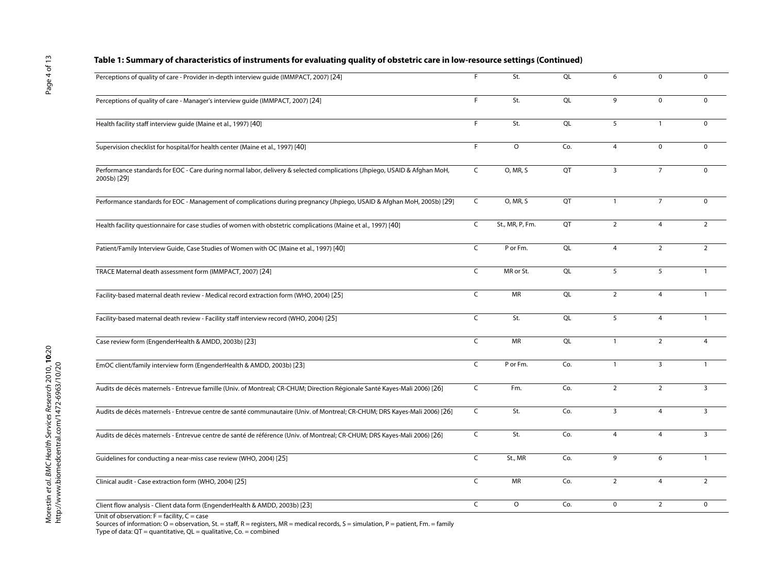# **Table 1: Summary of characteristics of instruments for evaluating quality of obstetric care in low-resource settings (Continued)**

| Perceptions of quality of care - Provider in-depth interview quide (IMMPACT, 2007) [24]                                                  | F.           | St.             | OL  | 6              | 0              | $\mathbf 0$    |
|------------------------------------------------------------------------------------------------------------------------------------------|--------------|-----------------|-----|----------------|----------------|----------------|
| Perceptions of quality of care - Manager's interview guide (IMMPACT, 2007) [24]                                                          | F            | St.             | QL  | 9              | $\mathbf 0$    | $\mathbf 0$    |
| Health facility staff interview guide (Maine et al., 1997) [40]                                                                          | F            | St.             | QL  | 5              | $\mathbf{1}$   | $\mathbf 0$    |
| Supervision checklist for hospital/for health center (Maine et al., 1997) [40]                                                           | F.           | $\circ$         | Co. | $\overline{4}$ | $\mathbf 0$    | $\mathbf 0$    |
| Performance standards for EOC - Care during normal labor, delivery & selected complications (Jhpiego, USAID & Afghan MoH,<br>2005b) [29] | $\mathsf{C}$ | O, MR, S        | QT  | $\overline{3}$ | $\overline{7}$ | $\Omega$       |
| Performance standards for EOC - Management of complications during pregnancy (Jhpiego, USAID & Afghan MoH, 2005b) [29]                   | C            | O, MR, S        | QT  | $\mathbf{1}$   | $\overline{7}$ | $\mathbf 0$    |
| Health facility questionnaire for case studies of women with obstetric complications (Maine et al., 1997) [40]                           | $\mathsf{C}$ | St., MR, P, Fm. | QT  | $\overline{2}$ | $\overline{4}$ | $\overline{2}$ |
| Patient/Family Interview Guide, Case Studies of Women with OC (Maine et al., 1997) [40]                                                  | $\mathsf C$  | P or Fm.        | QL  | $\overline{4}$ | $\overline{2}$ | $\overline{2}$ |
| TRACE Maternal death assessment form (IMMPACT, 2007) [24]                                                                                | C            | MR or St.       | QL  | 5              | 5              | $\mathbf{1}$   |
| Facility-based maternal death review - Medical record extraction form (WHO, 2004) [25]                                                   | $\mathsf C$  | MR              | QL  | $\overline{2}$ | $\overline{4}$ | $\mathbf{1}$   |
| Facility-based maternal death review - Facility staff interview record (WHO, 2004) [25]                                                  | $\mathsf C$  | St.             | QL  | 5              | $\overline{4}$ | $\mathbf{1}$   |
| Case review form (EngenderHealth & AMDD, 2003b) [23]                                                                                     | $\mathsf C$  | MR              | QL  | $\mathbf{1}$   | $\overline{2}$ | $\overline{4}$ |
| EmOC client/family interview form (EngenderHealth & AMDD, 2003b) [23]                                                                    | $\mathsf C$  | P or Fm.        | Co. | $\mathbf{1}$   | $\overline{3}$ | $\mathbf{1}$   |
| Audits de décès maternels - Entrevue famille (Univ. of Montreal; CR-CHUM; Direction Régionale Santé Kayes-Mali 2006) [26]                | $\mathsf C$  | Fm.             | Co. | $\overline{2}$ | $\overline{2}$ | 3              |
| Audits de décès maternels - Entrevue centre de santé communautaire (Univ. of Montreal; CR-CHUM; DRS Kayes-Mali 2006) [26]                | C            | St.             | Co. | 3              | $\overline{4}$ | 3              |
| Audits de décès maternels - Entrevue centre de santé de référence (Univ. of Montreal; CR-CHUM; DRS Kayes-Mali 2006) [26]                 | $\mathsf C$  | St.             | Co. | $\overline{4}$ | $\overline{4}$ | 3              |
| Guidelines for conducting a near-miss case review (WHO, 2004) [25]                                                                       | $\mathsf C$  | St., MR         | Co. | 9              | 6              | $\mathbf{1}$   |
| Clinical audit - Case extraction form (WHO, 2004) [25]                                                                                   | $\mathsf{C}$ | MR              | Co. | $\overline{2}$ | $\overline{4}$ | $\overline{2}$ |
| Client flow analysis - Client data form (EngenderHealth & AMDD, 2003b) [23]                                                              | $\mathsf{C}$ | $\circ$         | Co. | $\mathbf 0$    | $\overline{2}$ | $\mathbf 0$    |

Unit of observation: F = facility, C = case<br>Sources of information: O = observation, St. = staff, R = registers, MR = medical records, S = simulation, P = patient, Fm. = family

Type of data: QT = quantitative, QL = qualitative, Co. = combined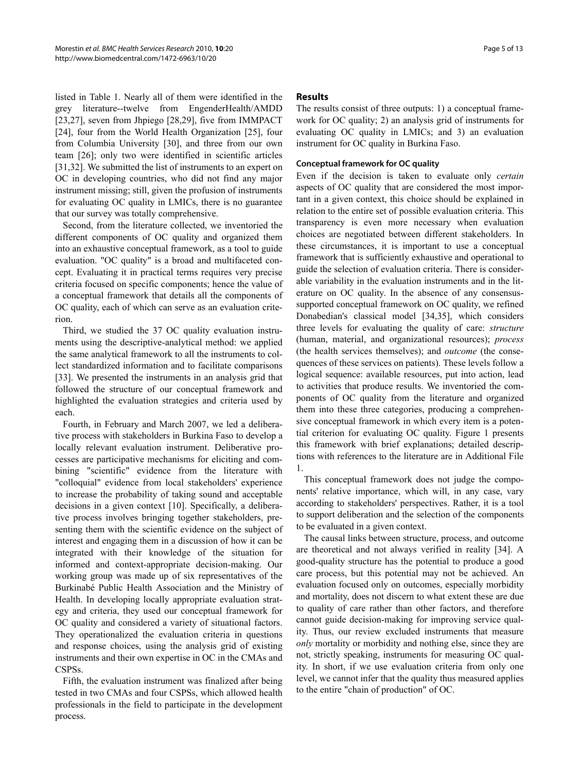listed in Table 1. Nearly all of them were identified in the grey literature--twelve from EngenderHealth/AMDD [[23,](#page-11-20)[27\]](#page-11-32), seven from Jhpiego [[28](#page-11-33),[29\]](#page-11-34), five from IMMPACT [[24\]](#page-11-35), four from the World Health Organization [[25\]](#page-11-21), four from Columbia University [\[30](#page-11-36)], and three from our own team [\[26](#page-11-22)]; only two were identified in scientific articles [[31,](#page-11-37)[32\]](#page-11-38). We submitted the list of instruments to an expert on OC in developing countries, who did not find any major instrument missing; still, given the profusion of instruments for evaluating OC quality in LMICs, there is no guarantee that our survey was totally comprehensive.

Second, from the literature collected, we inventoried the different components of OC quality and organized them into an exhaustive conceptual framework, as a tool to guide evaluation. "OC quality" is a broad and multifaceted concept. Evaluating it in practical terms requires very precise criteria focused on specific components; hence the value of a conceptual framework that details all the components of OC quality, each of which can serve as an evaluation criterion.

Third, we studied the 37 OC quality evaluation instruments using the descriptive-analytical method: we applied the same analytical framework to all the instruments to collect standardized information and to facilitate comparisons [[33\]](#page-11-39). We presented the instruments in an analysis grid that followed the structure of our conceptual framework and highlighted the evaluation strategies and criteria used by each.

Fourth, in February and March 2007, we led a deliberative process with stakeholders in Burkina Faso to develop a locally relevant evaluation instrument. Deliberative processes are participative mechanisms for eliciting and combining "scientific" evidence from the literature with "colloquial" evidence from local stakeholders' experience to increase the probability of taking sound and acceptable decisions in a given context [[10](#page-11-8)]. Specifically, a deliberative process involves bringing together stakeholders, presenting them with the scientific evidence on the subject of interest and engaging them in a discussion of how it can be integrated with their knowledge of the situation for informed and context-appropriate decision-making. Our working group was made up of six representatives of the Burkinabé Public Health Association and the Ministry of Health. In developing locally appropriate evaluation strategy and criteria, they used our conceptual framework for OC quality and considered a variety of situational factors. They operationalized the evaluation criteria in questions and response choices, using the analysis grid of existing instruments and their own expertise in OC in the CMAs and CSPSs.

Fifth, the evaluation instrument was finalized after being tested in two CMAs and four CSPSs, which allowed health professionals in the field to participate in the development process.

# **Results**

The results consist of three outputs: 1) a conceptual framework for OC quality; 2) an analysis grid of instruments for evaluating OC quality in LMICs; and 3) an evaluation instrument for OC quality in Burkina Faso.

### **Conceptual framework for OC quality**

Even if the decision is taken to evaluate only *certain* aspects of OC quality that are considered the most important in a given context, this choice should be explained in relation to the entire set of possible evaluation criteria. This transparency is even more necessary when evaluation choices are negotiated between different stakeholders. In these circumstances, it is important to use a conceptual framework that is sufficiently exhaustive and operational to guide the selection of evaluation criteria. There is considerable variability in the evaluation instruments and in the literature on OC quality. In the absence of any consensussupported conceptual framework on OC quality, we refined Donabedian's classical model [\[34](#page-11-40),[35](#page-11-41)], which considers three levels for evaluating the quality of care: *structure* (human, material, and organizational resources); *process* (the health services themselves); and *outcome* (the consequences of these services on patients). These levels follow a logical sequence: available resources, put into action, lead to activities that produce results. We inventoried the components of OC quality from the literature and organized them into these three categories, producing a comprehensive conceptual framework in which every item is a potential criterion for evaluating OC quality. Figure [1](#page-5-0) presents this framework with brief explanations; detailed descriptions with references to the literature are in Additional File [1.](#page-10-0)

This conceptual framework does not judge the components' relative importance, which will, in any case, vary according to stakeholders' perspectives. Rather, it is a tool to support deliberation and the selection of the components to be evaluated in a given context.

The causal links between structure, process, and outcome are theoretical and not always verified in reality [[34\]](#page-11-40). A good-quality structure has the potential to produce a good care process, but this potential may not be achieved. An evaluation focused only on outcomes, especially morbidity and mortality, does not discern to what extent these are due to quality of care rather than other factors, and therefore cannot guide decision-making for improving service quality. Thus, our review excluded instruments that measure *only* mortality or morbidity and nothing else, since they are not, strictly speaking, instruments for measuring OC quality. In short, if we use evaluation criteria from only one level, we cannot infer that the quality thus measured applies to the entire "chain of production" of OC.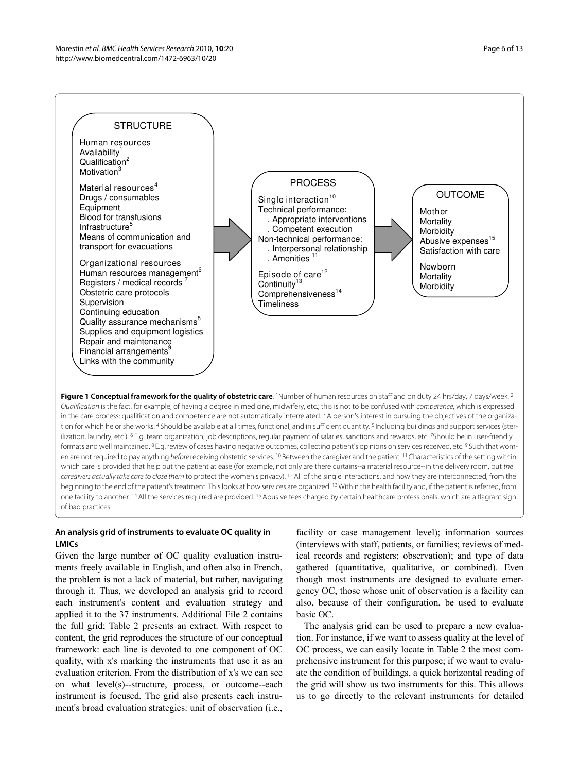<span id="page-5-0"></span>

in the care process: qualification and competence are not automatically interrelated. 3 A person's interest in pursuing the objectives of the organization for which he or she works. 4 Should be available at all times, functional, and in sufficient quantity. <sup>5</sup> Including buildings and support services (sterilization, laundry, etc.). <sup>6</sup> E.g. team organization, job descriptions, regular payment of salaries, sanctions and rewards, etc. <sup>7</sup>Should be in user-friendly formats and well maintained. <sup>8</sup> E.g. review of cases having negative outcomes, collecting patient's opinions on services received, etc. 9 Such that women are not required to pay anything *before* receiving obstetric services. <sup>10</sup> Between the caregiver and the patient. <sup>11</sup> Characteristics of the setting within which care is provided that help put the patient at ease (for example, not only are there curtains--a material resource--in the delivery room, but the caregivers actually take care to close them to protect the women's privacy). <sup>12</sup> All of the single interactions, and how they are interconnected, from the beginning to the end of the patient's treatment. This looks at how services are organized. <sup>13</sup> Within the health facility and, if the patient is referred, from one facility to another. <sup>14</sup> All the services required are provided. <sup>15</sup> Abusive fees charged by certain healthcare professionals, which are a flagrant sign of bad practices.

### **An analysis grid of instruments to evaluate OC quality in LMICs**

Given the large number of OC quality evaluation instruments freely available in English, and often also in French, the problem is not a lack of material, but rather, navigating through it. Thus, we developed an analysis grid to record each instrument's content and evaluation strategy and applied it to the 37 instruments. Additional File [2](#page-10-1) contains the full grid; Table 2 presents an extract. With respect to content, the grid reproduces the structure of our conceptual framework: each line is devoted to one component of OC quality, with x's marking the instruments that use it as an evaluation criterion. From the distribution of x's we can see on what level(s)--structure, process, or outcome--each instrument is focused. The grid also presents each instrument's broad evaluation strategies: unit of observation (i.e.,

facility or case management level); information sources (interviews with staff, patients, or families; reviews of medical records and registers; observation); and type of data gathered (quantitative, qualitative, or combined). Even though most instruments are designed to evaluate emergency OC, those whose unit of observation is a facility can also, because of their configuration, be used to evaluate basic OC.

The analysis grid can be used to prepare a new evaluation. For instance, if we want to assess quality at the level of OC process, we can easily locate in Table 2 the most comprehensive instrument for this purpose; if we want to evaluate the condition of buildings, a quick horizontal reading of the grid will show us two instruments for this. This allows us to go directly to the relevant instruments for detailed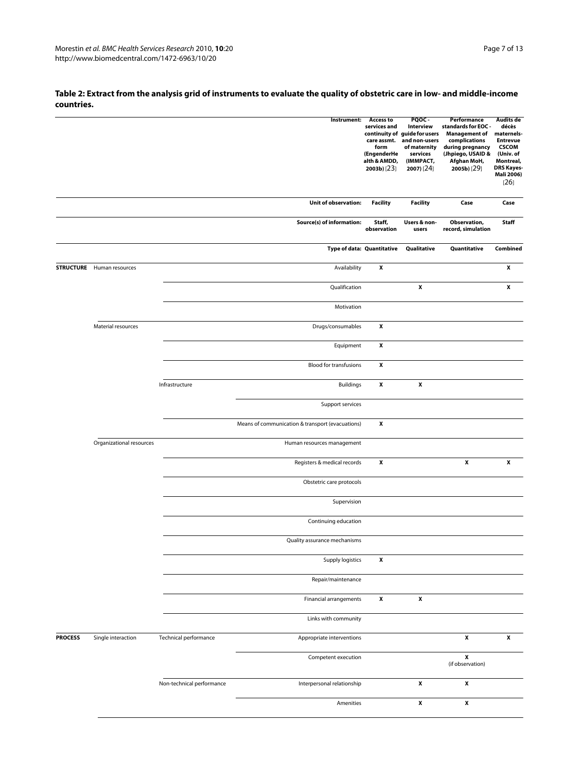# **Table 2: Extract from the analysis grid of instruments to evaluate the quality of obstetric care in low- and middle-income countries.**

|                |                                  |                           | Instrument:                                      | <b>Access to</b><br>services and<br>form<br>(EngenderHe<br>alth & AMDD,<br>$2003b$ [23] | PQOC-<br>Interview<br>continuity of guide for users<br>care assmt. and non-users<br>of maternity<br>services<br>(IMMPACT,<br>2007) [24] | Performance<br>standards for EOC -<br><b>Management of</b><br>complications<br>during pregnancy<br>(Jhpiego, USAID &<br>Afghan MoH,<br>2005b) [29] | <b>Audits de</b><br>décès<br>maternels-<br><b>Entrevue</b><br><b>CSCOM</b><br>(Univ. of<br>Montreal,<br><b>DRS Kayes-</b><br>Mali 2006)<br>[26] |
|----------------|----------------------------------|---------------------------|--------------------------------------------------|-----------------------------------------------------------------------------------------|-----------------------------------------------------------------------------------------------------------------------------------------|----------------------------------------------------------------------------------------------------------------------------------------------------|-------------------------------------------------------------------------------------------------------------------------------------------------|
|                |                                  |                           | Unit of observation:                             | <b>Facility</b>                                                                         | <b>Facility</b>                                                                                                                         | Case                                                                                                                                               | Case                                                                                                                                            |
|                |                                  |                           | Source(s) of information:                        | Staff,<br>observation                                                                   | Users & non-<br>users                                                                                                                   | Observation,<br>record, simulation                                                                                                                 | Staff                                                                                                                                           |
|                |                                  |                           |                                                  | Type of data: Quantitative                                                              | Qualitative                                                                                                                             | Quantitative                                                                                                                                       | Combined                                                                                                                                        |
|                | <b>STRUCTURE</b> Human resources |                           | Availability                                     | X                                                                                       |                                                                                                                                         |                                                                                                                                                    | X                                                                                                                                               |
|                |                                  |                           | Qualification                                    |                                                                                         | X                                                                                                                                       |                                                                                                                                                    | X                                                                                                                                               |
|                |                                  |                           | Motivation                                       |                                                                                         |                                                                                                                                         |                                                                                                                                                    |                                                                                                                                                 |
|                | Material resources               |                           | Drugs/consumables                                | x                                                                                       |                                                                                                                                         |                                                                                                                                                    |                                                                                                                                                 |
|                |                                  |                           | Equipment                                        | X                                                                                       |                                                                                                                                         |                                                                                                                                                    |                                                                                                                                                 |
|                |                                  |                           | <b>Blood for transfusions</b>                    | X                                                                                       |                                                                                                                                         |                                                                                                                                                    |                                                                                                                                                 |
|                |                                  | Infrastructure            | <b>Buildings</b>                                 | X                                                                                       | X                                                                                                                                       |                                                                                                                                                    |                                                                                                                                                 |
|                |                                  |                           | Support services                                 |                                                                                         |                                                                                                                                         |                                                                                                                                                    |                                                                                                                                                 |
|                |                                  |                           | Means of communication & transport (evacuations) | X                                                                                       |                                                                                                                                         |                                                                                                                                                    |                                                                                                                                                 |
|                | Organizational resources         |                           | Human resources management                       |                                                                                         |                                                                                                                                         |                                                                                                                                                    |                                                                                                                                                 |
|                |                                  |                           | Registers & medical records                      | X                                                                                       |                                                                                                                                         | X                                                                                                                                                  | X                                                                                                                                               |
|                |                                  |                           | Obstetric care protocols                         |                                                                                         |                                                                                                                                         |                                                                                                                                                    |                                                                                                                                                 |
|                |                                  |                           | Supervision                                      |                                                                                         |                                                                                                                                         |                                                                                                                                                    |                                                                                                                                                 |
|                |                                  |                           | Continuing education                             |                                                                                         |                                                                                                                                         |                                                                                                                                                    |                                                                                                                                                 |
|                |                                  |                           | Quality assurance mechanisms                     |                                                                                         |                                                                                                                                         |                                                                                                                                                    |                                                                                                                                                 |
|                |                                  |                           | Supply logistics                                 | x                                                                                       |                                                                                                                                         |                                                                                                                                                    |                                                                                                                                                 |
|                |                                  |                           | Repair/maintenance                               |                                                                                         |                                                                                                                                         |                                                                                                                                                    |                                                                                                                                                 |
|                |                                  |                           | Financial arrangements                           | x                                                                                       | x                                                                                                                                       |                                                                                                                                                    |                                                                                                                                                 |
|                |                                  |                           | Links with community                             |                                                                                         |                                                                                                                                         |                                                                                                                                                    |                                                                                                                                                 |
| <b>PROCESS</b> | Single interaction               | Technical performance     | Appropriate interventions                        |                                                                                         |                                                                                                                                         | X                                                                                                                                                  | x                                                                                                                                               |
|                |                                  |                           | Competent execution                              |                                                                                         |                                                                                                                                         | x<br>(if observation)                                                                                                                              |                                                                                                                                                 |
|                |                                  | Non-technical performance | Interpersonal relationship                       |                                                                                         | x                                                                                                                                       | x                                                                                                                                                  |                                                                                                                                                 |
|                |                                  |                           | Amenities                                        |                                                                                         | X                                                                                                                                       | X                                                                                                                                                  |                                                                                                                                                 |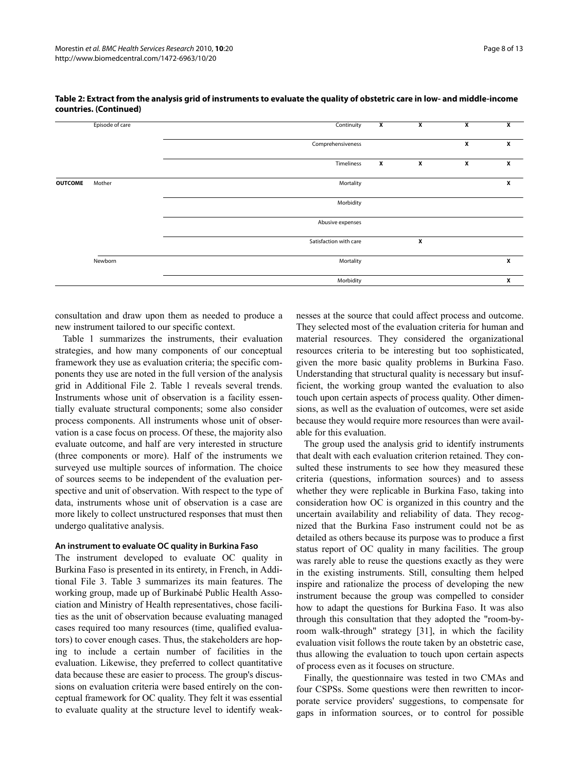|                | Episode of care | Continuity             | X | X | X | x |
|----------------|-----------------|------------------------|---|---|---|---|
|                |                 |                        |   |   |   |   |
|                |                 | Comprehensiveness      |   |   | x | x |
|                |                 | Timeliness             | X | X | X | x |
| <b>OUTCOME</b> | Mother          | Mortality              |   |   |   | X |
|                |                 | Morbidity              |   |   |   |   |
|                |                 | Abusive expenses       |   |   |   |   |
|                |                 | Satisfaction with care |   | X |   |   |
|                | Newborn         | Mortality              |   |   |   | X |
|                |                 | Morbidity              |   |   |   | X |

### **Table 2: Extract from the analysis grid of instruments to evaluate the quality of obstetric care in low- and middle-income countries. (Continued)**

consultation and draw upon them as needed to produce a new instrument tailored to our specific context.

Table 1 summarizes the instruments, their evaluation strategies, and how many components of our conceptual framework they use as evaluation criteria; the specific components they use are noted in the full version of the analysis grid in Additional File [2.](#page-10-1) Table 1 reveals several trends. Instruments whose unit of observation is a facility essentially evaluate structural components; some also consider process components. All instruments whose unit of observation is a case focus on process. Of these, the majority also evaluate outcome, and half are very interested in structure (three components or more). Half of the instruments we surveyed use multiple sources of information. The choice of sources seems to be independent of the evaluation perspective and unit of observation. With respect to the type of data, instruments whose unit of observation is a case are more likely to collect unstructured responses that must then undergo qualitative analysis.

# **An instrument to evaluate OC quality in Burkina Faso**

The instrument developed to evaluate OC quality in Burkina Faso is presented in its entirety, in French, in Additional File [3.](#page-10-2) Table 3 summarizes its main features. The working group, made up of Burkinabé Public Health Association and Ministry of Health representatives, chose facilities as the unit of observation because evaluating managed cases required too many resources (time, qualified evaluators) to cover enough cases. Thus, the stakeholders are hoping to include a certain number of facilities in the evaluation. Likewise, they preferred to collect quantitative data because these are easier to process. The group's discussions on evaluation criteria were based entirely on the conceptual framework for OC quality. They felt it was essential to evaluate quality at the structure level to identify weak-

nesses at the source that could affect process and outcome. They selected most of the evaluation criteria for human and material resources. They considered the organizational resources criteria to be interesting but too sophisticated, given the more basic quality problems in Burkina Faso. Understanding that structural quality is necessary but insufficient, the working group wanted the evaluation to also touch upon certain aspects of process quality. Other dimensions, as well as the evaluation of outcomes, were set aside because they would require more resources than were available for this evaluation.

The group used the analysis grid to identify instruments that dealt with each evaluation criterion retained. They consulted these instruments to see how they measured these criteria (questions, information sources) and to assess whether they were replicable in Burkina Faso, taking into consideration how OC is organized in this country and the uncertain availability and reliability of data. They recognized that the Burkina Faso instrument could not be as detailed as others because its purpose was to produce a first status report of OC quality in many facilities. The group was rarely able to reuse the questions exactly as they were in the existing instruments. Still, consulting them helped inspire and rationalize the process of developing the new instrument because the group was compelled to consider how to adapt the questions for Burkina Faso. It was also through this consultation that they adopted the "room-byroom walk-through" strategy [[31](#page-11-37)], in which the facility evaluation visit follows the route taken by an obstetric case, thus allowing the evaluation to touch upon certain aspects of process even as it focuses on structure.

Finally, the questionnaire was tested in two CMAs and four CSPSs. Some questions were then rewritten to incorporate service providers' suggestions, to compensate for gaps in information sources, or to control for possible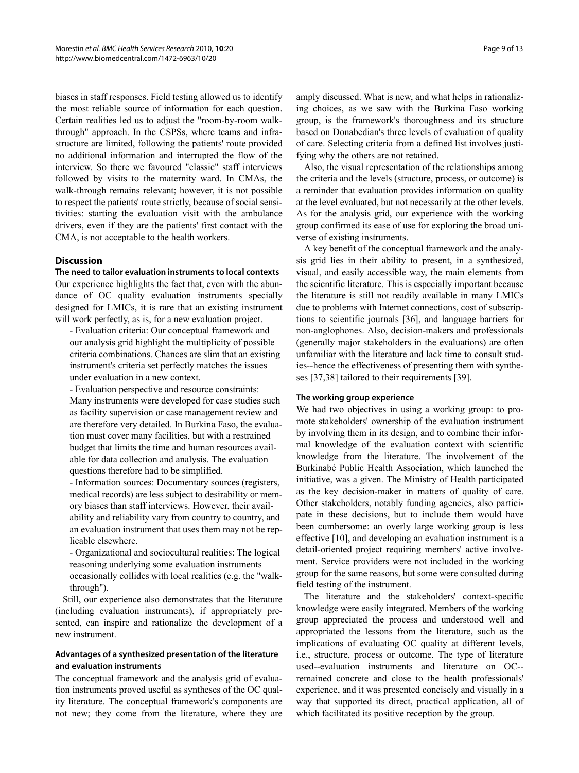biases in staff responses. Field testing allowed us to identify the most reliable source of information for each question. Certain realities led us to adjust the "room-by-room walkthrough" approach. In the CSPSs, where teams and infrastructure are limited, following the patients' route provided no additional information and interrupted the flow of the interview. So there we favoured "classic" staff interviews followed by visits to the maternity ward. In CMAs, the walk-through remains relevant; however, it is not possible to respect the patients' route strictly, because of social sensitivities: starting the evaluation visit with the ambulance drivers, even if they are the patients' first contact with the CMA, is not acceptable to the health workers.

### **Discussion**

**The need to tailor evaluation instruments to local contexts** Our experience highlights the fact that, even with the abundance of OC quality evaluation instruments specially designed for LMICs, it is rare that an existing instrument will work perfectly, as is, for a new evaluation project.

- Evaluation criteria: Our conceptual framework and our analysis grid highlight the multiplicity of possible criteria combinations. Chances are slim that an existing instrument's criteria set perfectly matches the issues under evaluation in a new context.

- Evaluation perspective and resource constraints: Many instruments were developed for case studies such as facility supervision or case management review and are therefore very detailed. In Burkina Faso, the evaluation must cover many facilities, but with a restrained budget that limits the time and human resources available for data collection and analysis. The evaluation questions therefore had to be simplified.

- Information sources: Documentary sources (registers, medical records) are less subject to desirability or memory biases than staff interviews. However, their availability and reliability vary from country to country, and an evaluation instrument that uses them may not be replicable elsewhere.

- Organizational and sociocultural realities: The logical reasoning underlying some evaluation instruments occasionally collides with local realities (e.g. the "walkthrough").

Still, our experience also demonstrates that the literature (including evaluation instruments), if appropriately presented, can inspire and rationalize the development of a new instrument.

### **Advantages of a synthesized presentation of the literature and evaluation instruments**

The conceptual framework and the analysis grid of evaluation instruments proved useful as syntheses of the OC quality literature. The conceptual framework's components are not new; they come from the literature, where they are amply discussed. What is new, and what helps in rationalizing choices, as we saw with the Burkina Faso working group, is the framework's thoroughness and its structure based on Donabedian's three levels of evaluation of quality of care. Selecting criteria from a defined list involves justifying why the others are not retained.

Also, the visual representation of the relationships among the criteria and the levels (structure, process, or outcome) is a reminder that evaluation provides information on quality at the level evaluated, but not necessarily at the other levels. As for the analysis grid, our experience with the working group confirmed its ease of use for exploring the broad universe of existing instruments.

A key benefit of the conceptual framework and the analysis grid lies in their ability to present, in a synthesized, visual, and easily accessible way, the main elements from the scientific literature. This is especially important because the literature is still not readily available in many LMICs due to problems with Internet connections, cost of subscriptions to scientific journals [\[36](#page-11-42)], and language barriers for non-anglophones. Also, decision-makers and professionals (generally major stakeholders in the evaluations) are often unfamiliar with the literature and lack time to consult studies--hence the effectiveness of presenting them with syntheses [\[37](#page-11-43),[38](#page-12-1)] tailored to their requirements [[39\]](#page-12-2).

### **The working group experience**

We had two objectives in using a working group: to promote stakeholders' ownership of the evaluation instrument by involving them in its design, and to combine their informal knowledge of the evaluation context with scientific knowledge from the literature. The involvement of the Burkinabé Public Health Association, which launched the initiative, was a given. The Ministry of Health participated as the key decision-maker in matters of quality of care. Other stakeholders, notably funding agencies, also participate in these decisions, but to include them would have been cumbersome: an overly large working group is less effective [[10](#page-11-8)], and developing an evaluation instrument is a detail-oriented project requiring members' active involvement. Service providers were not included in the working group for the same reasons, but some were consulted during field testing of the instrument.

The literature and the stakeholders' context-specific knowledge were easily integrated. Members of the working group appreciated the process and understood well and appropriated the lessons from the literature, such as the implications of evaluating OC quality at different levels, i.e., structure, process or outcome. The type of literature used--evaluation instruments and literature on OC- remained concrete and close to the health professionals' experience, and it was presented concisely and visually in a way that supported its direct, practical application, all of which facilitated its positive reception by the group.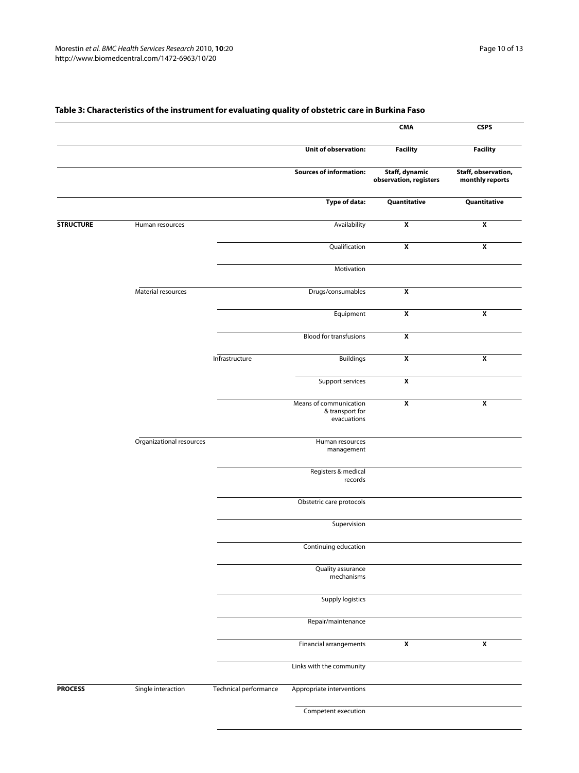|                  |                          |                       |                                                          | <b>CMA</b>                               | <b>CSPS</b>                            |
|------------------|--------------------------|-----------------------|----------------------------------------------------------|------------------------------------------|----------------------------------------|
|                  |                          |                       | Unit of observation:                                     | <b>Facility</b>                          | <b>Facility</b>                        |
|                  |                          |                       | <b>Sources of information:</b>                           | Staff, dynamic<br>observation, registers | Staff, observation,<br>monthly reports |
|                  |                          |                       | Type of data:                                            | Quantitative                             | Quantitative                           |
| <b>STRUCTURE</b> | Human resources          |                       | Availability                                             | $\pmb{\mathsf{x}}$                       | $\pmb{\chi}$                           |
|                  |                          |                       | Qualification                                            | $\pmb{\mathsf{x}}$                       | $\pmb{\mathsf{x}}$                     |
|                  |                          |                       | Motivation                                               |                                          |                                        |
|                  | Material resources       |                       | Drugs/consumables                                        | $\pmb{\mathsf{x}}$                       |                                        |
|                  |                          |                       | Equipment                                                | $\pmb{\mathsf{x}}$                       | $\pmb{\mathsf{x}}$                     |
|                  |                          |                       | <b>Blood for transfusions</b>                            | $\pmb{\mathsf{x}}$                       |                                        |
|                  |                          | Infrastructure        | <b>Buildings</b>                                         | $\pmb{\mathsf{x}}$                       | X                                      |
|                  |                          |                       | Support services                                         | $\pmb{\mathsf{x}}$                       |                                        |
|                  |                          |                       | Means of communication<br>& transport for<br>evacuations | $\pmb{\mathsf{x}}$                       | $\pmb{\mathsf{x}}$                     |
|                  | Organizational resources |                       | Human resources<br>management                            |                                          |                                        |
|                  |                          |                       | Registers & medical<br>records                           |                                          |                                        |
|                  |                          |                       | Obstetric care protocols                                 |                                          |                                        |
|                  |                          |                       | Supervision                                              |                                          |                                        |
|                  |                          |                       | Continuing education                                     |                                          |                                        |
|                  |                          |                       | Quality assurance<br>mechanisms                          |                                          |                                        |
|                  |                          |                       | Supply logistics                                         |                                          |                                        |
|                  |                          |                       | Repair/maintenance                                       |                                          |                                        |
|                  |                          |                       | Financial arrangements                                   | $\pmb{\mathsf{x}}$                       | X                                      |
|                  |                          |                       | Links with the community                                 |                                          |                                        |
| <b>PROCESS</b>   | Single interaction       | Technical performance | Appropriate interventions                                |                                          |                                        |
|                  |                          |                       | Competent execution                                      |                                          |                                        |

# **Table 3: Characteristics of the instrument for evaluating quality of obstetric care in Burkina Faso**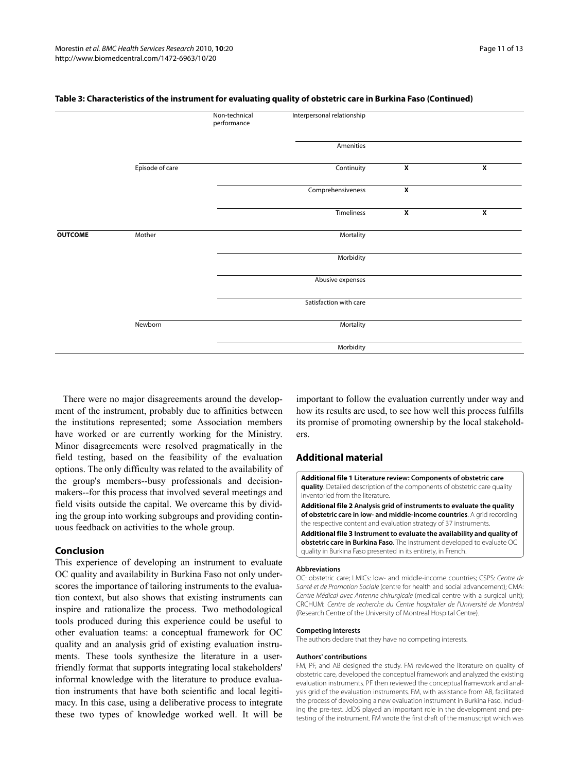

### **Table 3: Characteristics of the instrument for evaluating quality of obstetric care in Burkina Faso (Continued)**

There were no major disagreements around the development of the instrument, probably due to affinities between the institutions represented; some Association members have worked or are currently working for the Ministry. Minor disagreements were resolved pragmatically in the field testing, based on the feasibility of the evaluation options. The only difficulty was related to the availability of the group's members--busy professionals and decisionmakers--for this process that involved several meetings and field visits outside the capital. We overcame this by dividing the group into working subgroups and providing continuous feedback on activities to the whole group.

### **Conclusion**

This experience of developing an instrument to evaluate OC quality and availability in Burkina Faso not only underscores the importance of tailoring instruments to the evaluation context, but also shows that existing instruments can inspire and rationalize the process. Two methodological tools produced during this experience could be useful to other evaluation teams: a conceptual framework for OC quality and an analysis grid of existing evaluation instruments. These tools synthesize the literature in a userfriendly format that supports integrating local stakeholders' informal knowledge with the literature to produce evaluation instruments that have both scientific and local legitimacy. In this case, using a deliberative process to integrate these two types of knowledge worked well. It will be

important to follow the evaluation currently under way and how its results are used, to see how well this process fulfills its promise of promoting ownership by the local stakeholders.

# **Additional material**

<span id="page-10-0"></span>**[Additional file 1](http://www.biomedcentral.com/content/supplementary/1472-6963-10-20-S1.DOC) Literature review: Components of obstetric care quality**. Detailed description of the components of obstetric care quality inventoried from the literature.

<span id="page-10-1"></span>**[Additional file 2](http://www.biomedcentral.com/content/supplementary/1472-6963-10-20-S2.XLS) Analysis grid of instruments to evaluate the quality of obstetric care in low- and middle-income countries**. A grid recording the respective content and evaluation strategy of 37 instruments.

<span id="page-10-2"></span>**[Additional file 3](http://www.biomedcentral.com/content/supplementary/1472-6963-10-20-S3.DOC) Instrument to evaluate the availability and quality of obstetric care in Burkina Faso**. The instrument developed to evaluate OC quality in Burkina Faso presented in its entirety, in French.

#### **Abbreviations**

OC: obstetric care; LMICs: low- and middle-income countries; CSPS: Centre de Santé et de Promotion Sociale (centre for health and social advancement); CMA: Centre Médical avec Antenne chirurgicale (medical centre with a surgical unit); CRCHUM: Centre de recherche du Centre hospitalier de l'Université de Montréal (Research Centre of the University of Montreal Hospital Centre).

### **Competing interests**

The authors declare that they have no competing interests.

### **Authors' contributions**

FM, PF, and AB designed the study. FM reviewed the literature on quality of obstetric care, developed the conceptual framework and analyzed the existing evaluation instruments. PF then reviewed the conceptual framework and analysis grid of the evaluation instruments. FM, with assistance from AB, facilitated the process of developing a new evaluation instrument in Burkina Faso, including the pre-test. JdDS played an important role in the development and pretesting of the instrument. FM wrote the first draft of the manuscript which was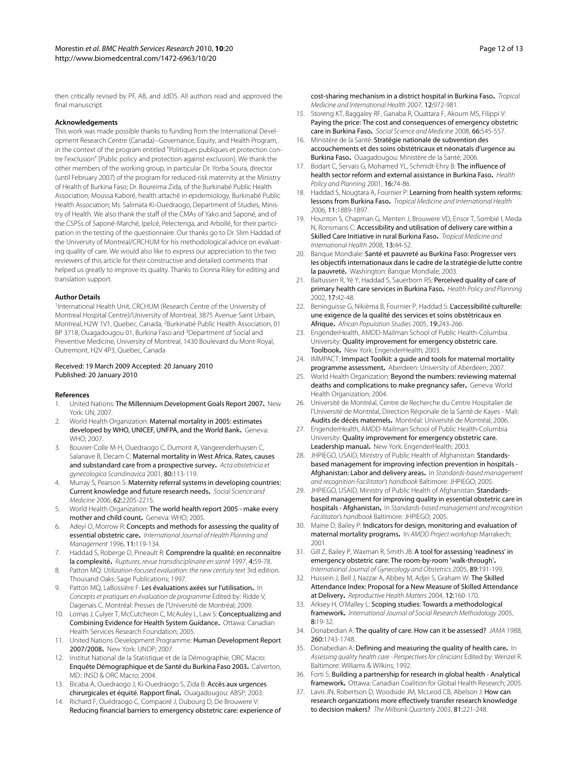then critically revised by PF, AB, and JdDS. All authors read and approved the final manuscript.

### **Acknowledgements**

This work was made possible thanks to funding from the International Development Research Centre (Canada)--Governance, Equity, and Health Program, in the context of the program entitled "Politiques publiques et protection contre l'exclusion" [Public policy and protection against exclusion]. We thank the other members of the working group, in particular Dr. Yorba Soura, director (until February 2007) of the program for reduced-risk maternity at the Ministry of Health of Burkina Faso; Dr. Boureima Zida, of the Burkinabé Public Health Association; Moussa Kaboré, health attaché in epidemiology, Burkinabé Public Health Association; Ms. Salimata Ki-Ouedraogo, Department of Studies, Ministry of Health. We also thank the staff of the CMAs of Yako and Saponé, and of the CSPSs of Saponé-Marché, Ipelcé, Pelectenga, and Arbollé, for their participation in the testing of the questionnaire. Our thanks go to Dr. Slim Haddad of the University of Montreal/CRCHUM for his methodological advice on evaluating quality of care. We would also like to express our appreciation to the two reviewers of this article for their constructive and detailed comments that helped us greatly to improve its quality. Thanks to Donna Riley for editing and translation support.

### **Author Details**

1International Health Unit, CRCHUM (Research Centre of the University of Montreal Hospital Centre)/University of Montreal, 3875 Avenue Saint Urbain, Montreal, H2W 1V1, Quebec, Canada, 2Burkinabé Public Health Association, 01 BP 3718, Ouagadougou 01, Burkina Faso and 3Department of Social and Preventive Medicine, University of Montreal, 1430 Boulevard du Mont-Royal, Outremont, H2V 4P3, Quebec, Canada

### Received: 19 March 2009 Accepted: 20 January 2010 Published: 20 January 2010

### **References**

- <span id="page-11-0"></span>1. United Nations: The Millennium Development Goals Report 2007**.** New York: UN; 2007.
- <span id="page-11-1"></span>2. World Health Organization: Maternal mortality in 2005: estimates developed by WHO, UNICEF, UNFPA, and the World Bank**.** Geneva: WHO; 2007.
- <span id="page-11-2"></span>3. Bouvier-Colle M-H, Ouedraogo C, Dumont A, Vangeenderhuysen C, Salanave B, Decam C: Maternal mortality in West Africa. Rates, causes and substandard care from a prospective survey**.** Acta obstetricia et gynecologica Scandinavica 2001, 80:113-119.
- 4. Murray S, Pearson S: Maternity referral systems in developing countries: Current knowledge and future research needs**[.](http://www.ncbi.nlm.nih.gov/entrez/query.fcgi?cmd=Retrieve&db=PubMed&dopt=Abstract&list_uids=16330139)** Social Science and Medicine 2006, 62:2205-2215.
- <span id="page-11-3"></span>5. World Health Organization: The world health report 2005 - make every mother and child count**.** Geneva: WHO; 2005.
- <span id="page-11-4"></span>6. Adeyi O, Morrow R: Concepts and methods for assessing the quality of essential obstetric care**.** International Journal of Health Planning and Management 1996, 11:119-134.
- <span id="page-11-5"></span>7. Haddad S, Roberge D, Pineault R: Comprendre la qualité: en reconnaître la complexité**.** Ruptures, revue transdisciplinaire en santé 1997, 4:59-78.
- <span id="page-11-6"></span>8. Patton MO: Utilization-focused evaluation: the new century text 3rd edition. Thousand Oaks: Sage Publications; 1997.
- <span id="page-11-7"></span>9. Patton MQ, LaBossière F: Les évaluations axées sur l'utilisation**.** In Concepts et pratiques en évaluation de programme Edited by: Ridde V, Dagenais C. Montréal: Presses de l'Université de Montréal; 2009.
- <span id="page-11-8"></span>10. Lomas J, Culyer T, McCutcheon C, McAuley L, Law S: Conceptualizing and Combining Evidence for Health System Guidance**.** Ottawa: Canadian Health Services Research Foundation; 2005.
- <span id="page-11-9"></span>11. United Nations Development Programme: Human Development Report 2007/2008**.** New York: UNDP; 2007.
- <span id="page-11-10"></span>12. Institut National de la Statistique et de la Démographie, ORC Macro: Enquête Démographique et de Santé du Burkina Faso 2003**.** Calverton, MD.: INSD & ORC Macro; 2004.
- <span id="page-11-11"></span>13. Bicaba A, Ouedraogo J, Ki-Ouedraogo S, Zida B: Accès aux urgences chirurgicales et équité. Rapport final**.** Ouagadougou: ABSP; 2003.
- 14. Richard F, Ouédraogo C, Compaoré J, Dubourg D, De Brouwere V: Reducing financial barriers to emergency obstetric care: experience of

cost-sharing mechanism in a district hospital in Burkina Faso**.** Tropical Medicine and International Health 2007, 12:972-981.

- <span id="page-11-12"></span>15. Storeng KT, Baggaley RF, Ganaba R, Ouattara F, Akoum MS, Filippi V: Paying the price: The cost and consequences of emergency obstetric care in Burkina Faso**.** Social Science and Medicine 2008, 66:545-557.
- <span id="page-11-25"></span><span id="page-11-13"></span>16. Ministère de la Santé: Stratégie nationale de subvention des accouchements et des soins obstétricaux et néonatals d'urgence au Burkina Faso**.** Ouagadougou: Ministère de la Santé; 2006.
- <span id="page-11-29"></span><span id="page-11-14"></span>17. Bodart C, Servais G, Mohamed YL, Schmidt-Ehry B: The influence of health sector reform and external assistance in Burkina Faso**[.](http://www.ncbi.nlm.nih.gov/entrez/query.fcgi?cmd=Retrieve&db=PubMed&dopt=Abstract&list_uids=11238434)** Health Policy and Planning 2001, 16:74-86.
- <span id="page-11-30"></span><span id="page-11-15"></span>18. Haddad S, Nougtara A, Fournier P: Learning from health system reforms: lessons from Burkina Faso**.** Tropical Medicine and International Health 2006, 11:1889-1897.
- <span id="page-11-31"></span><span id="page-11-24"></span><span id="page-11-16"></span>19. Hounton S, Chapman G, Menten J, Brouwere VD, Ensor T, Sombié I, Meda N, Ronsmans C: Accessibility and utilisation of delivery care within a Skilled Care Initiative in rural Burkina Faso**.** Tropical Medicine and International Health 2008, 13:44-52.
- <span id="page-11-26"></span><span id="page-11-17"></span>20. Banque Mondiale: Santé et pauvreté au Burkina Faso: Progresser vers les objectifs internationaux dans le cadre de la stratégie de lutte contre la pauvreté**.** Washington: Banque Mondiale; 2003.
- <span id="page-11-18"></span>21. Baltussen R, Yé Y, Haddad S, Sauerborn RS: Perceived quality of care of primary health care services in Burkina Faso**.** Health Policy and Planning 2002, 17:42-48.
- <span id="page-11-27"></span><span id="page-11-19"></span>22. Beninguisse G, Nikièma B, Fournier P, Haddad S: L'accessibilité culturelle: une exigence de la qualité des services et soins obstétricaux en Afrique**.** African Population Studies 2005, 19:243-266.
- <span id="page-11-20"></span>23. EngenderHealth, AMDD-Mailman School of Public Health-Columbia University: Quality improvement for emergency obstetric care. Toolbook**.** New York: EngenderHealth; 2003.
- <span id="page-11-35"></span><span id="page-11-23"></span>24. IMMPACT: Immpact Toolkit: a guide and tools for maternal mortality programme assessment**.** Aberdeen: University of Aberdeen; 2007.
- <span id="page-11-28"></span><span id="page-11-21"></span>25. World Health Organization: Beyond the numbers: reviewing maternal deaths and complications to make pregnancy safer**.** Geneva: World Health Organization; 2004.
- <span id="page-11-22"></span>26. Université de Montréal, Centre de Recherche du Centre Hospitalier de l'Université de Montréal, Direction Régionale de la Santé de Kayes - Mali: Audits de décès maternels**.** Montréal: Université de Montréal; 2006.
- <span id="page-11-32"></span>27. EngenderHealth, AMDD-Mailman School of Public Health-Columbia University: Quality improvement for emergency obstetric care. Leadership manual**.** New York: EngenderHealth; 2003.
- <span id="page-11-33"></span>28. JHPIEGO, USAID, Ministry of Public Health of Afghanistan: Standardsbased management for improving infection prevention in hospitals - Afghanistan: Labor and delivery areas**.** In Standards-based management and recognition Facilitator's handbook Baltimore: JHPIEGO; 2005.
- <span id="page-11-34"></span>29. JHPIEGO, USAID, Ministry of Public Health of Afghanistan: Standardsbased management for improving quality in essential obstetric care in hospitals - Afghanistan**.** In Standards-based management and recognition Facilitator's handbook Baltimore: JHPIEGO; 2005.
- <span id="page-11-36"></span>30. Maine D, Bailey P: Indicators for design, monitoring and evaluation of maternal mortality programs**.** In AMDD Project workshop Marrakech; 2001.
- <span id="page-11-37"></span>31. Gill Z, Bailey P, Waxman R, Smith JB: A tool for assessing 'readiness' in emergency obstetric care: The room-by-room 'walk-through'**.** International Journal of Gynecology and Obstetrics 2005, 89:191-199.
- <span id="page-11-38"></span>32. Hussein J, Bell J, Nazzar A, Abbey M, Adjei S, Graham W: The Skilled Attendance Index: Proposal for a New Measure of Skilled Attendance at Delivery**.** Reproductive Health Matters 2004, 12:160-170.
- <span id="page-11-39"></span>33. Arksey H, O'Malley L: Scoping studies: Towards a methodological framework**.** International Journal of Social Research Methodology 2005, 8:19-32.
- <span id="page-11-40"></span>34. Donabedian A: The quality of care. How can it be assessed? JAMA 1988, 260:1743-1748.
- <span id="page-11-41"></span>35. Donabedian A: Defining and measuring the quality of health care**.** In Assessing quality health care - Perspectives for clinicians Edited by: Wenzel R. Baltimore: Williams & Wilkins; 1992.
- <span id="page-11-42"></span>36. Forti S: Building a partnership for research in global health - Analytical framework**.** Ottawa: Canadian Coalition for Global Health Research; 2005.
- <span id="page-11-43"></span>37. Lavis JN, Robertson D, Woodside JM, McLeod CB, Abelson J: How can research organizations more effectively transfer research knowledge to decision makers? The Milbank Quarterly 2003, 81:221-248.